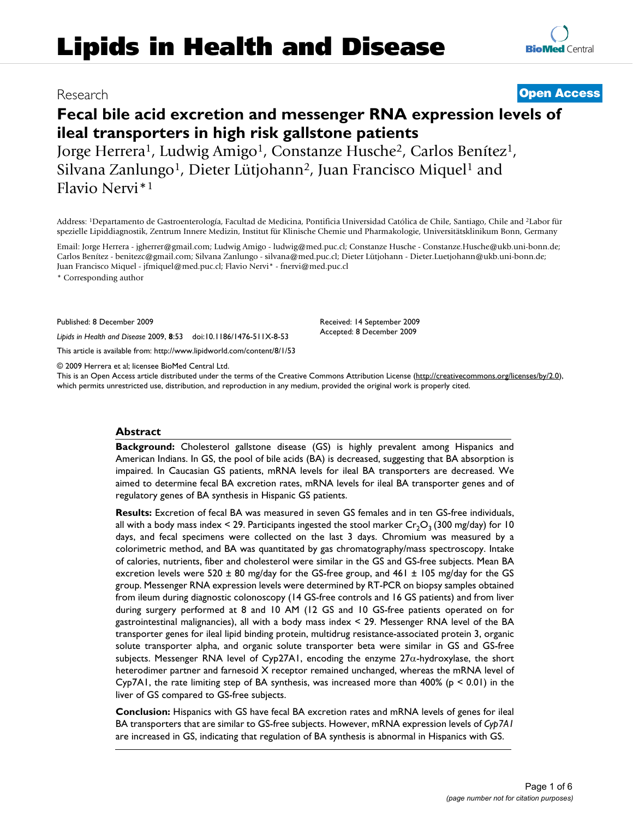# **Fecal bile acid excretion and messenger RNA expression levels of ileal transporters in high risk gallstone patients**

Jorge Herrera<sup>1</sup>, Ludwig Amigo<sup>1</sup>, Constanze Husche<sup>2</sup>, Carlos Benítez<sup>1</sup>, Silvana Zanlungo<sup>1</sup>, Dieter Lütjohann<sup>2</sup>, Juan Francisco Miquel<sup>1</sup> and Flavio Nervi\*1

Address: 1Departamento de Gastroenterología, Facultad de Medicina, Pontificia Universidad Católica de Chile, Santiago, Chile and 2Labor für spezielle Lipiddiagnostik, Zentrum Innere Medizin, Institut für Klinische Chemie und Pharmakologie, Universitätsklinikum Bonn, Germany

Email: Jorge Herrera - jgherrer@gmail.com; Ludwig Amigo - ludwig@med.puc.cl; Constanze Husche - Constanze.Husche@ukb.uni-bonn.de; Carlos Benítez - benitezc@gmail.com; Silvana Zanlungo - silvana@med.puc.cl; Dieter Lütjohann - Dieter.Luetjohann@ukb.uni-bonn.de; Juan Francisco Miquel - jfmiquel@med.puc.cl; Flavio Nervi\* - fnervi@med.puc.cl

\* Corresponding author

Published: 8 December 2009

*Lipids in Health and Disease* 2009, **8**:53 doi:10.1186/1476-511X-8-53

[This article is available from: http://www.lipidworld.com/content/8/1/53](http://www.lipidworld.com/content/8/1/53)

© 2009 Herrera et al; licensee BioMed Central Ltd.

This is an Open Access article distributed under the terms of the Creative Commons Attribution License [\(http://creativecommons.org/licenses/by/2.0\)](http://creativecommons.org/licenses/by/2.0), which permits unrestricted use, distribution, and reproduction in any medium, provided the original work is properly cited.

#### **Abstract**

**Background:** Cholesterol gallstone disease (GS) is highly prevalent among Hispanics and American Indians. In GS, the pool of bile acids (BA) is decreased, suggesting that BA absorption is impaired. In Caucasian GS patients, mRNA levels for ileal BA transporters are decreased. We aimed to determine fecal BA excretion rates, mRNA levels for ileal BA transporter genes and of regulatory genes of BA synthesis in Hispanic GS patients.

**Results:** Excretion of fecal BA was measured in seven GS females and in ten GS-free individuals, all with a body mass index < 29. Participants ingested the stool marker  $Cr_2O_3$  (300 mg/day) for 10 days, and fecal specimens were collected on the last 3 days. Chromium was measured by a colorimetric method, and BA was quantitated by gas chromatography/mass spectroscopy. Intake of calories, nutrients, fiber and cholesterol were similar in the GS and GS-free subjects. Mean BA excretion levels were 520  $\pm$  80 mg/day for the GS-free group, and 461  $\pm$  105 mg/day for the GS group. Messenger RNA expression levels were determined by RT-PCR on biopsy samples obtained from ileum during diagnostic colonoscopy (14 GS-free controls and 16 GS patients) and from liver during surgery performed at 8 and 10 AM (12 GS and 10 GS-free patients operated on for gastrointestinal malignancies), all with a body mass index < 29. Messenger RNA level of the BA transporter genes for ileal lipid binding protein, multidrug resistance-associated protein 3, organic solute transporter alpha, and organic solute transporter beta were similar in GS and GS-free subjects. Messenger RNA level of Cyp27A1, encoding the enzyme  $27\alpha$ -hydroxylase, the short heterodimer partner and farnesoid X receptor remained unchanged, whereas the mRNA level of Cyp7A1, the rate limiting step of BA synthesis, was increased more than  $400\%$  (p < 0.01) in the liver of GS compared to GS-free subjects.

**Conclusion:** Hispanics with GS have fecal BA excretion rates and mRNA levels of genes for ileal BA transporters that are similar to GS-free subjects. However, mRNA expression levels of *Cyp7A1* are increased in GS, indicating that regulation of BA synthesis is abnormal in Hispanics with GS.

## Research **[Open Access](http://www.biomedcentral.com/info/about/charter/)**

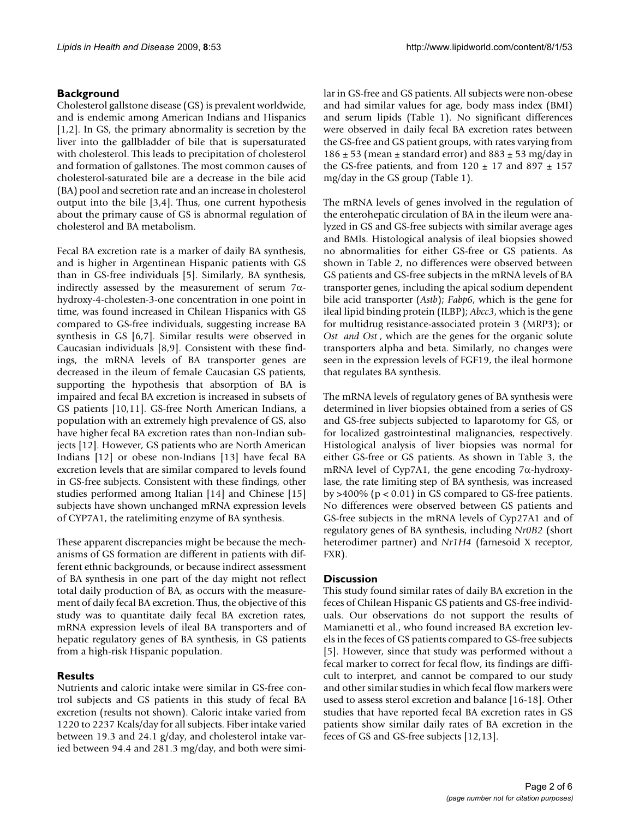#### **Background**

Cholesterol gallstone disease (GS) is prevalent worldwide, and is endemic among American Indians and Hispanics [1,2]. In GS, the primary abnormality is secretion by the liver into the gallbladder of bile that is supersaturated with cholesterol. This leads to precipitation of cholesterol and formation of gallstones. The most common causes of cholesterol-saturated bile are a decrease in the bile acid (BA) pool and secretion rate and an increase in cholesterol output into the bile [3,4]. Thus, one current hypothesis about the primary cause of GS is abnormal regulation of cholesterol and BA metabolism.

Fecal BA excretion rate is a marker of daily BA synthesis, and is higher in Argentinean Hispanic patients with GS than in GS-free individuals [5]. Similarly, BA synthesis, indirectly assessed by the measurement of serum  $7\alpha$ hydroxy-4-cholesten-3-one concentration in one point in time, was found increased in Chilean Hispanics with GS compared to GS-free individuals, suggesting increase BA synthesis in GS [6,7]. Similar results were observed in Caucasian individuals [8,9]. Consistent with these findings, the mRNA levels of BA transporter genes are decreased in the ileum of female Caucasian GS patients, supporting the hypothesis that absorption of BA is impaired and fecal BA excretion is increased in subsets of GS patients [10,11]. GS-free North American Indians, a population with an extremely high prevalence of GS, also have higher fecal BA excretion rates than non-Indian subjects [12]. However, GS patients who are North American Indians [12] or obese non-Indians [13] have fecal BA excretion levels that are similar compared to levels found in GS-free subjects. Consistent with these findings, other studies performed among Italian [14] and Chinese [15] subjects have shown unchanged mRNA expression levels of CYP7A1, the ratelimiting enzyme of BA synthesis.

These apparent discrepancies might be because the mechanisms of GS formation are different in patients with different ethnic backgrounds, or because indirect assessment of BA synthesis in one part of the day might not reflect total daily production of BA, as occurs with the measurement of daily fecal BA excretion. Thus, the objective of this study was to quantitate daily fecal BA excretion rates, mRNA expression levels of ileal BA transporters and of hepatic regulatory genes of BA synthesis, in GS patients from a high-risk Hispanic population.

### **Results**

Nutrients and caloric intake were similar in GS-free control subjects and GS patients in this study of fecal BA excretion (results not shown). Caloric intake varied from 1220 to 2237 Kcals/day for all subjects. Fiber intake varied between 19.3 and 24.1 g/day, and cholesterol intake varied between 94.4 and 281.3 mg/day, and both were similar in GS-free and GS patients. All subjects were non-obese and had similar values for age, body mass index (BMI) and serum lipids (Table 1). No significant differences were observed in daily fecal BA excretion rates between the GS-free and GS patient groups, with rates varying from  $186 \pm 53$  (mean  $\pm$  standard error) and  $883 \pm 53$  mg/day in the GS-free patients, and from  $120 \pm 17$  and  $897 \pm 157$ mg/day in the GS group (Table 1).

The mRNA levels of genes involved in the regulation of the enterohepatic circulation of BA in the ileum were analyzed in GS and GS-free subjects with similar average ages and BMIs. Histological analysis of ileal biopsies showed no abnormalities for either GS-free or GS patients. As shown in Table 2, no differences were observed between GS patients and GS-free subjects in the mRNA levels of BA transporter genes, including the apical sodium dependent bile acid transporter (*Astb*); *Fabp6*, which is the gene for ileal lipid binding protein (ILBP); *Abcc3*, which is the gene for multidrug resistance-associated protein 3 (MRP3); or *Ost and Ost* , which are the genes for the organic solute transporters alpha and beta. Similarly, no changes were seen in the expression levels of FGF19, the ileal hormone that regulates BA synthesis.

The mRNA levels of regulatory genes of BA synthesis were determined in liver biopsies obtained from a series of GS and GS-free subjects subjected to laparotomy for GS, or for localized gastrointestinal malignancies, respectively. Histological analysis of liver biopsies was normal for either GS-free or GS patients. As shown in Table 3, the mRNA level of Cyp7A1, the gene encoding  $7\alpha$ -hydroxylase, the rate limiting step of BA synthesis, was increased by >400% ( $p < 0.01$ ) in GS compared to GS-free patients. No differences were observed between GS patients and GS-free subjects in the mRNA levels of Cyp27A1 and of regulatory genes of BA synthesis, including *Nr0B2* (short heterodimer partner) and *Nr1H4* (farnesoid X receptor, FXR).

#### **Discussion**

This study found similar rates of daily BA excretion in the feces of Chilean Hispanic GS patients and GS-free individuals. Our observations do not support the results of Mamianetti et al., who found increased BA excretion levels in the feces of GS patients compared to GS-free subjects [5]. However, since that study was performed without a fecal marker to correct for fecal flow, its findings are difficult to interpret, and cannot be compared to our study and other similar studies in which fecal flow markers were used to assess sterol excretion and balance [16-18]. Other studies that have reported fecal BA excretion rates in GS patients show similar daily rates of BA excretion in the feces of GS and GS-free subjects [12,13].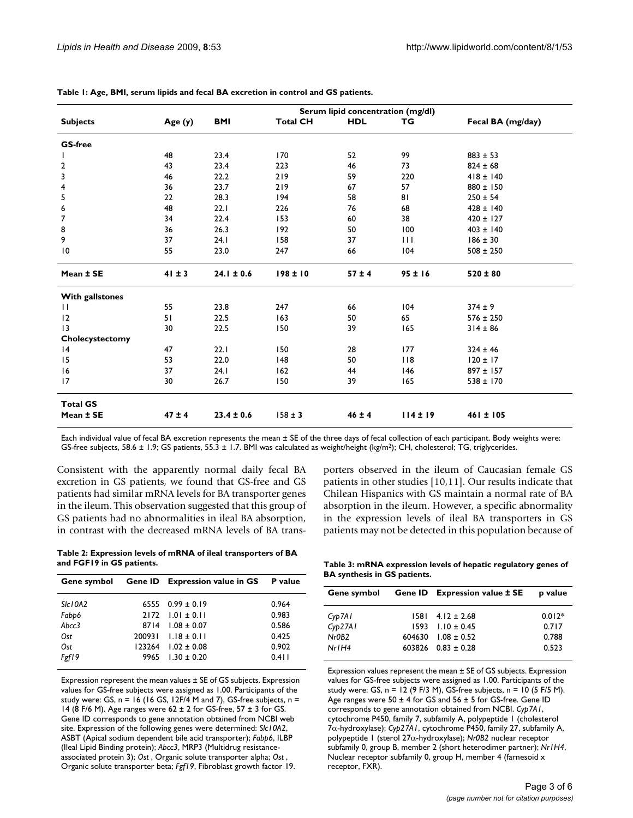|                        | Serum lipid concentration (mg/dl) |                |                 |            |              |                   |  |
|------------------------|-----------------------------------|----------------|-----------------|------------|--------------|-------------------|--|
| <b>Subjects</b>        | Age (y)                           | <b>BMI</b>     | <b>Total CH</b> | <b>HDL</b> | TG           | Fecal BA (mg/day) |  |
| <b>GS-free</b>         |                                   |                |                 |            |              |                   |  |
| $\mathbf{I}$           | 48                                | 23.4           | 170             | 52         | 99           | $883 \pm 53$      |  |
| $\overline{2}$         | 43                                | 23.4           | 223             | 46         | 73           | $824 \pm 68$      |  |
| $\mathbf 3$            | 46                                | 22.2           | 219             | 59         | 220          | $418 \pm 140$     |  |
| 4                      | 36                                | 23.7           | 219             | 67         | 57           | $880 \pm 150$     |  |
| 5                      | 22                                | 28.3           | 194             | 58         | 81           | $250 \pm 54$      |  |
| 6                      | 48                                | 22.1           | 226             | 76         | 68           | $428 \pm 140$     |  |
| 7                      | 34                                | 22.4           | 153             | 60         | 38           | $420 \pm 127$     |  |
| 8                      | 36                                | 26.3           | 192             | 50         | 100          | $403 \pm 140$     |  |
| 9                      | 37                                | 24.1           | 158             | 37         | $\mathbf{H}$ | $186 \pm 30$      |  |
| $\overline{10}$        | 55                                | 23.0           | 247             | 66         | 104          | $508 \pm 250$     |  |
| Mean ± SE              | $41 \pm 3$                        | $24.1 \pm 0.6$ | $198 \pm 10$    | $57 \pm 4$ | 95±16        | $520 \pm 80$      |  |
| <b>With gallstones</b> |                                   |                |                 |            |              |                   |  |
| $\mathbf{H}$           | 55                                | 23.8           | 247             | 66         | 104          | $374 \pm 9$       |  |
| 12                     | 51                                | 22.5           | 163             | 50         | 65           | $576 \pm 250$     |  |
| 13                     | 30                                | 22.5           | 150             | 39         | 165          | $314 \pm 86$      |  |
| Cholecystectomy        |                                   |                |                 |            |              |                   |  |
| 4                      | 47                                | 22.1           | 150             | 28         | 177          | $324 \pm 46$      |  |
| 15                     | 53                                | 22.0           | 148             | 50         | 118          | $120 \pm 17$      |  |
| 16                     | 37                                | 24.1           | 162             | 44         | 146          | $897 \pm 157$     |  |
| 17                     | 30                                | 26.7           | 150             | 39         | 165          | $538 \pm 170$     |  |
| <b>Total GS</b>        |                                   |                |                 |            |              |                   |  |
| Mean ± SE              | $47 \pm 4$                        | $23.4 \pm 0.6$ | $158 \pm 3$     | $46 \pm 4$ | $114 \pm 19$ | 461 ± 105         |  |

**Table 1: Age, BMI, serum lipids and fecal BA excretion in control and GS patients.**

Each individual value of fecal BA excretion represents the mean ± SE of the three days of fecal collection of each participant. Body weights were: GS-free subjects, 58.6 ± 1.9; GS patients, 55.3 ± 1.7. BMI was calculated as weight/height (kg/m2); CH, cholesterol; TG, triglycerides.

Consistent with the apparently normal daily fecal BA excretion in GS patients, we found that GS-free and GS patients had similar mRNA levels for BA transporter genes in the ileum. This observation suggested that this group of GS patients had no abnormalities in ileal BA absorption, in contrast with the decreased mRNA levels of BA trans-

**Table 2: Expression levels of mRNA of ileal transporters of BA and FGF19 in GS patients.**

|         |      | Gene symbol Gene ID Expression value in GS | P value |
|---------|------|--------------------------------------------|---------|
| SIc10A2 |      | 6555 $0.99 \pm 0.19$                       | 0.964   |
| Fabb6   |      | $2172$ 1.01 ± 0.11                         | 0.983   |
| Abcc3   | 8714 | $1.08 \pm 0.07$                            | 0.586   |
| Ost     |      | $200931$ $1.18 \pm 0.11$                   | 0.425   |
| Ost     |      | $123264$ $1.02 \pm 0.08$                   | 0.902   |
| Fgf19   |      | $9965$ 1.30 ± 0.20                         | 0.411   |
|         |      |                                            |         |

Expression represent the mean values ± SE of GS subjects. Expression values for GS-free subjects were assigned as 1.00. Participants of the study were: GS,  $n = 16$  (16 GS, 12F/4 M and 7), GS-free subjects,  $n =$ 14 (8 F/6 M). Age ranges were 62 ± 2 for GS-free, 57 ± 3 for GS. Gene ID corresponds to gene annotation obtained from NCBI web site. Expression of the following genes were determined: *Slc10A2*, ASBT (Apical sodium dependent bile acid transporter); *Fabp6*, ILBP (Ileal Lipid Binding protein); *Abcc3*, MRP3 (Multidrug resistanceassociated protein 3); *Ost* , Organic solute transporter alpha; *Ost* , Organic solute transporter beta; *Fgf19*, Fibroblast growth factor 19.

porters observed in the ileum of Caucasian female GS patients in other studies [10,11]. Our results indicate that Chilean Hispanics with GS maintain a normal rate of BA absorption in the ileum. However, a specific abnormality in the expression levels of ileal BA transporters in GS patients may not be detected in this population because of

**Table 3: mRNA expression levels of hepatic regulatory genes of BA synthesis in GS patients.**

| Gene symbol       | <b>Gene ID</b> Expression value ± SE | p value  |
|-------------------|--------------------------------------|----------|
| Cyp7A1            | $1581$ 4.12 ± 2.68                   | $0.012*$ |
| Cyb27A1           | $1593$ $1.10 \pm 0.45$               | 0.717    |
| Nr0B <sub>2</sub> | $604630$ $1.08 + 0.52$               | 0.788    |
| $Nr$ $H4$         | $603826$ $0.83 \pm 0.28$             | 0.523    |
|                   |                                      |          |

Expression values represent the mean ± SE of GS subjects. Expression values for GS-free subjects were assigned as 1.00. Participants of the study were: GS,  $n = 12$  (9 F/3 M), GS-free subjects,  $n = 10$  (5 F/5 M). Age ranges were  $50 \pm 4$  for GS and  $56 \pm 5$  for GS-free. Gene ID corresponds to gene annotation obtained from NCBI. *Cyp7A1*, cytochrome P450, family 7, subfamily A, polypeptide 1 (cholesterol 7α-hydroxylase); *Cyp27A1*, cytochrome P450, family 27, subfamily A, polypeptide 1 (sterol 27α-hydroxylase); *Nr0B2* nuclear receptor subfamily 0, group B, member 2 (short heterodimer partner); *Nr1H4*, Nuclear receptor subfamily 0, group H, member 4 (farnesoid x receptor, FXR).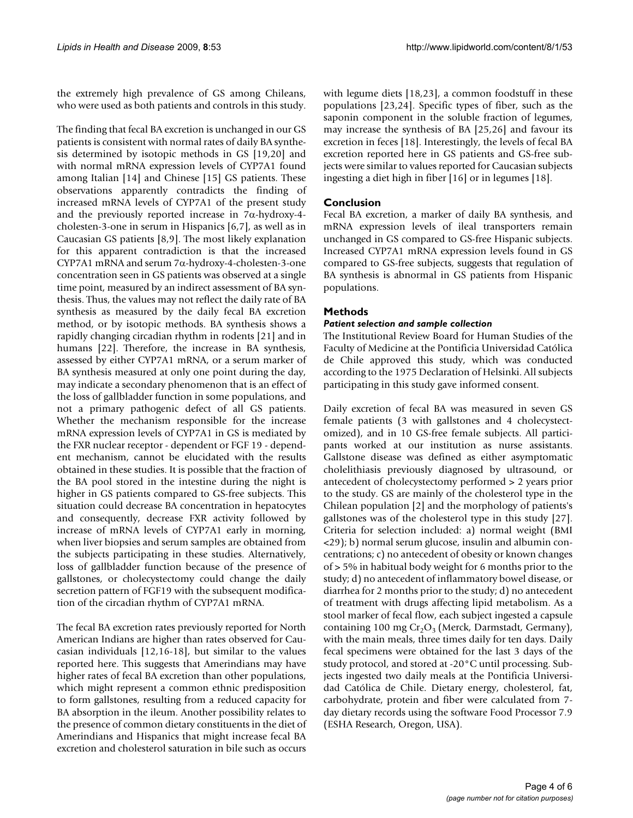the extremely high prevalence of GS among Chileans, who were used as both patients and controls in this study.

The finding that fecal BA excretion is unchanged in our GS patients is consistent with normal rates of daily BA synthesis determined by isotopic methods in GS [19,20] and with normal mRNA expression levels of CYP7A1 found among Italian [14] and Chinese [15] GS patients. These observations apparently contradicts the finding of increased mRNA levels of CYP7A1 of the present study and the previously reported increase in  $7\alpha$ -hydroxy-4cholesten-3-one in serum in Hispanics [6,7], as well as in Caucasian GS patients [8,9]. The most likely explanation for this apparent contradiction is that the increased CYP7A1 mRNA and serum 7α-hydroxy-4-cholesten-3-one concentration seen in GS patients was observed at a single time point, measured by an indirect assessment of BA synthesis. Thus, the values may not reflect the daily rate of BA synthesis as measured by the daily fecal BA excretion method, or by isotopic methods. BA synthesis shows a rapidly changing circadian rhythm in rodents [21] and in humans [22]. Therefore, the increase in BA synthesis, assessed by either CYP7A1 mRNA, or a serum marker of BA synthesis measured at only one point during the day, may indicate a secondary phenomenon that is an effect of the loss of gallbladder function in some populations, and not a primary pathogenic defect of all GS patients. Whether the mechanism responsible for the increase mRNA expression levels of CYP7A1 in GS is mediated by the FXR nuclear receptor - dependent or FGF 19 - dependent mechanism, cannot be elucidated with the results obtained in these studies. It is possible that the fraction of the BA pool stored in the intestine during the night is higher in GS patients compared to GS-free subjects. This situation could decrease BA concentration in hepatocytes and consequently, decrease FXR activity followed by increase of mRNA levels of CYP7A1 early in morning, when liver biopsies and serum samples are obtained from the subjects participating in these studies. Alternatively, loss of gallbladder function because of the presence of gallstones, or cholecystectomy could change the daily secretion pattern of FGF19 with the subsequent modification of the circadian rhythm of CYP7A1 mRNA.

The fecal BA excretion rates previously reported for North American Indians are higher than rates observed for Caucasian individuals [12,16-18], but similar to the values reported here. This suggests that Amerindians may have higher rates of fecal BA excretion than other populations, which might represent a common ethnic predisposition to form gallstones, resulting from a reduced capacity for BA absorption in the ileum. Another possibility relates to the presence of common dietary constituents in the diet of Amerindians and Hispanics that might increase fecal BA excretion and cholesterol saturation in bile such as occurs

with legume diets [18,23], a common foodstuff in these populations [23,24]. Specific types of fiber, such as the saponin component in the soluble fraction of legumes, may increase the synthesis of BA [25,26] and favour its excretion in feces [18]. Interestingly, the levels of fecal BA excretion reported here in GS patients and GS-free subjects were similar to values reported for Caucasian subjects ingesting a diet high in fiber [16] or in legumes [18].

### **Conclusion**

Fecal BA excretion, a marker of daily BA synthesis, and mRNA expression levels of ileal transporters remain unchanged in GS compared to GS-free Hispanic subjects. Increased CYP7A1 mRNA expression levels found in GS compared to GS-free subjects, suggests that regulation of BA synthesis is abnormal in GS patients from Hispanic populations.

#### **Methods**

#### *Patient selection and sample collection*

The Institutional Review Board for Human Studies of the Faculty of Medicine at the Pontificia Universidad Católica de Chile approved this study, which was conducted according to the 1975 Declaration of Helsinki. All subjects participating in this study gave informed consent.

Daily excretion of fecal BA was measured in seven GS female patients (3 with gallstones and 4 cholecystectomized), and in 10 GS-free female subjects. All participants worked at our institution as nurse assistants. Gallstone disease was defined as either asymptomatic cholelithiasis previously diagnosed by ultrasound, or antecedent of cholecystectomy performed > 2 years prior to the study. GS are mainly of the cholesterol type in the Chilean population [2] and the morphology of patients's gallstones was of the cholesterol type in this study [27]. Criteria for selection included: a) normal weight (BMI <29); b) normal serum glucose, insulin and albumin concentrations; c) no antecedent of obesity or known changes of > 5% in habitual body weight for 6 months prior to the study; d) no antecedent of inflammatory bowel disease, or diarrhea for 2 months prior to the study; d) no antecedent of treatment with drugs affecting lipid metabolism. As a stool marker of fecal flow, each subject ingested a capsule containing 100 mg  $Cr_2O_3$  (Merck, Darmstadt, Germany), with the main meals, three times daily for ten days. Daily fecal specimens were obtained for the last 3 days of the study protocol, and stored at -20°C until processing. Subjects ingested two daily meals at the Pontificia Universidad Católica de Chile. Dietary energy, cholesterol, fat, carbohydrate, protein and fiber were calculated from 7 day dietary records using the software Food Processor 7.9 (ESHA Research, Oregon, USA).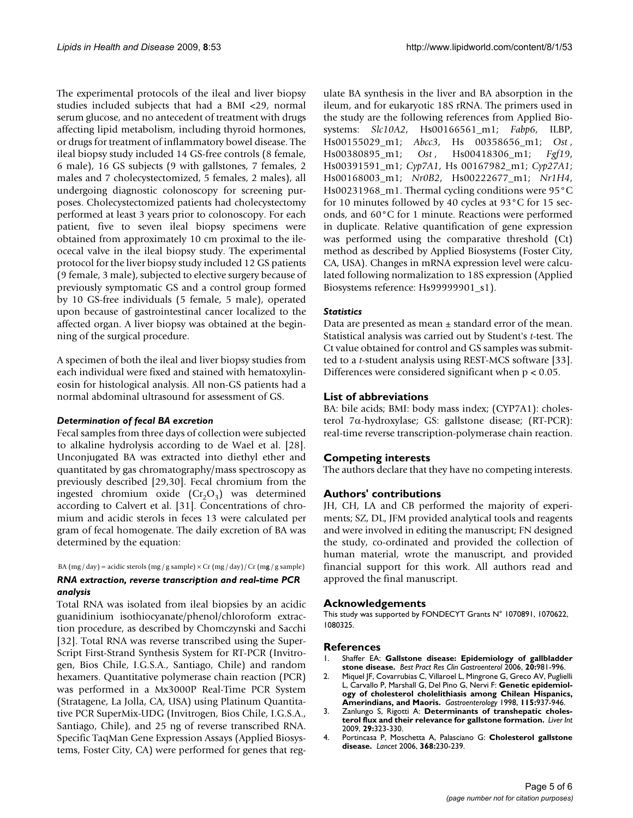The experimental protocols of the ileal and liver biopsy studies included subjects that had a BMI <29, normal serum glucose, and no antecedent of treatment with drugs affecting lipid metabolism, including thyroid hormones, or drugs for treatment of inflammatory bowel disease. The ileal biopsy study included 14 GS-free controls (8 female, 6 male), 16 GS subjects (9 with gallstones, 7 females, 2 males and 7 cholecystectomized, 5 females, 2 males), all undergoing diagnostic colonoscopy for screening purposes. Cholecystectomized patients had cholecystectomy performed at least 3 years prior to colonoscopy. For each patient, five to seven ileal biopsy specimens were obtained from approximately 10 cm proximal to the ileocecal valve in the ileal biopsy study. The experimental protocol for the liver biopsy study included 12 GS patients (9 female, 3 male), subjected to elective surgery because of previously symptomatic GS and a control group formed by 10 GS-free individuals (5 female, 5 male), operated upon because of gastrointestinal cancer localized to the affected organ. A liver biopsy was obtained at the beginning of the surgical procedure.

A specimen of both the ileal and liver biopsy studies from each individual were fixed and stained with hematoxylineosin for histological analysis. All non-GS patients had a normal abdominal ultrasound for assessment of GS.

#### *Determination of fecal BA excretion*

Fecal samples from three days of collection were subjected to alkaline hydrolysis according to de Wael et al. [28]. Unconjugated BA was extracted into diethyl ether and quantitated by gas chromatography/mass spectroscopy as previously described [29,30]. Fecal chromium from the ingested chromium oxide  $(Cr_2O_3)$  was determined according to Calvert et al. [31]. Concentrations of chromium and acidic sterols in feces 13 were calculated per gram of fecal homogenate. The daily excretion of BA was determined by the equation:

BA  $(mg / day) = acidic$  sterols  $(mg / g$  sample)  $\times$  Cr  $(mg / day) / Cr$   $(mg / g$  sample)

#### *RNA extraction, reverse transcription and real-time PCR analysis*

Total RNA was isolated from ileal biopsies by an acidic guanidinium isothiocyanate/phenol/chloroform extraction procedure, as described by Chomczynski and Sacchi [32]. Total RNA was reverse transcribed using the Super-Script First-Strand Synthesis System for RT-PCR (Invitrogen, Bios Chile, I.G.S.A., Santiago, Chile) and random hexamers. Quantitative polymerase chain reaction (PCR) was performed in a Mx3000P Real-Time PCR System (Stratagene, La Jolla, CA, USA) using Platinum Quantitative PCR SuperMix-UDG (Invitrogen, Bios Chile, I.G.S.A., Santiago, Chile), and 25 ng of reverse transcribed RNA. Specific TaqMan Gene Expression Assays (Applied Biosystems, Foster City, CA) were performed for genes that regulate BA synthesis in the liver and BA absorption in the ileum, and for eukaryotic 18S rRNA. The primers used in the study are the following references from Applied Biosystems: *Slc10A2*, Hs00166561\_m1; *Fabp6*, ILBP, Hs00155029\_m1; *Abcc3*, Hs 00358656\_m1; *Ost* , Hs00380895\_m1; *Ost* , Hs00418306\_m1; *Fgf19*, Hs00391591\_m1; *Cyp7A1*, Hs 00167982\_m1; *Cyp27A1*; Hs00168003\_m1; *Nr0B2*, Hs00222677\_m1; *Nr1H4*, Hs00231968  $m1$ . Thermal cycling conditions were 95 $\degree$ C for 10 minutes followed by 40 cycles at 93°C for 15 seconds, and 60°C for 1 minute. Reactions were performed in duplicate. Relative quantification of gene expression was performed using the comparative threshold (Ct) method as described by Applied Biosystems (Foster City, CA, USA). Changes in mRNA expression level were calculated following normalization to 18S expression (Applied Biosystems reference: Hs99999901\_s1).

#### *Statistics*

Data are presented as mean  $\pm$  standard error of the mean. Statistical analysis was carried out by Student's *t*-test. The Ct value obtained for control and GS samples was submitted to a *t*-student analysis using REST-MCS software [33]. Differences were considered significant when p < 0.05.

#### **List of abbreviations**

BA: bile acids; BMI: body mass index; (CYP7A1): cholesterol 7α-hydroxylase; GS: gallstone disease; (RT-PCR): real-time reverse transcription-polymerase chain reaction.

### **Competing interests**

The authors declare that they have no competing interests.

#### **Authors' contributions**

JH, CH, LA and CB performed the majority of experiments; SZ, DL, JFM provided analytical tools and reagents and were involved in editing the manuscript; FN designed the study, co-ordinated and provided the collection of human material, wrote the manuscript, and provided financial support for this work. All authors read and approved the final manuscript.

#### **Acknowledgements**

This study was supported by FONDECYT Grants N° 1070891, 1070622, 1080325.

#### **References**

- 1. Shaffer EA: **[Gallstone disease: Epidemiology of gallbladder](http://www.ncbi.nlm.nih.gov/entrez/query.fcgi?cmd=Retrieve&db=PubMed&dopt=Abstract&list_uids=17127183) [stone disease.](http://www.ncbi.nlm.nih.gov/entrez/query.fcgi?cmd=Retrieve&db=PubMed&dopt=Abstract&list_uids=17127183)** *Best Pract Res Clin Gastroenterol* 2006, **20:**981-996.
- 2. Miquel JF, Covarrubias C, Villaroel L, Mingrone G, Greco AV, Puglielli L, Carvallo P, Marshall G, Del Pino G, Nervi F: **[Genetic epidemiol](http://www.ncbi.nlm.nih.gov/entrez/query.fcgi?cmd=Retrieve&db=PubMed&dopt=Abstract&list_uids=9753497)[ogy of cholesterol cholelithiasis among Chilean Hispanics,](http://www.ncbi.nlm.nih.gov/entrez/query.fcgi?cmd=Retrieve&db=PubMed&dopt=Abstract&list_uids=9753497) [Amerindians, and Maoris.](http://www.ncbi.nlm.nih.gov/entrez/query.fcgi?cmd=Retrieve&db=PubMed&dopt=Abstract&list_uids=9753497)** *Gastroenterology* 1998, **115:**937-946.
- 3. Zanlungo S, Rigotti A: **[Determinants of transhepatic choles](http://www.ncbi.nlm.nih.gov/entrez/query.fcgi?cmd=Retrieve&db=PubMed&dopt=Abstract&list_uids=19267863)[terol flux and their relevance for gallstone formation.](http://www.ncbi.nlm.nih.gov/entrez/query.fcgi?cmd=Retrieve&db=PubMed&dopt=Abstract&list_uids=19267863)** *Liver Int* 2009, **29:**323-330.
- 4. Portincasa P, Moschetta A, Palasciano G: **[Cholesterol gallstone](http://www.ncbi.nlm.nih.gov/entrez/query.fcgi?cmd=Retrieve&db=PubMed&dopt=Abstract&list_uids=16844493) [disease.](http://www.ncbi.nlm.nih.gov/entrez/query.fcgi?cmd=Retrieve&db=PubMed&dopt=Abstract&list_uids=16844493)** *Lancet* 2006, **368:**230-239.